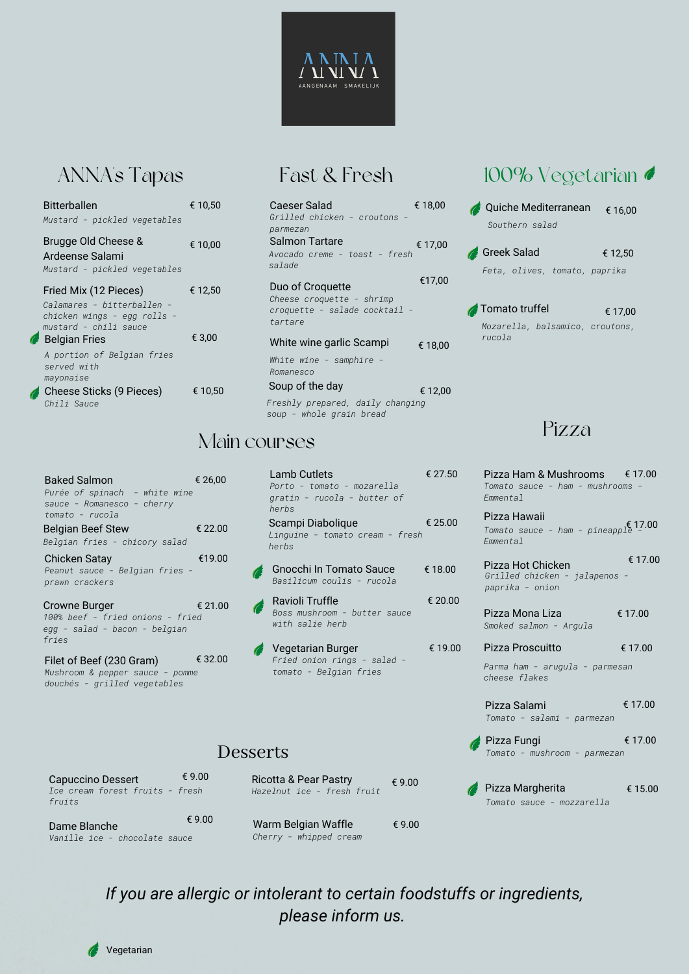## ANNA's Tapas

| <b>Bitterballen</b><br>Mustard - pickled vegetables                                                         | € 10,50 | Caeser Salad<br>Grilled chicken<br>parmezan                      |
|-------------------------------------------------------------------------------------------------------------|---------|------------------------------------------------------------------|
| Brugge Old Cheese &<br>Ardeense Salami<br>Mustard - pickled vegetables                                      | € 10,00 | <b>Salmon Tartare</b><br>Avocado creme -<br>salade               |
| Fried Mix (12 Pieces)<br>Calamares - bitterballen -<br>chicken wings - egg rolls -<br>mustard - chili sauce | € 12,50 | Duo of Croquett<br>Cheese croquett<br>croquette - sal<br>tartare |
| <b>Belgian Fries</b>                                                                                        | € 3,00  | White wine garli                                                 |
| A portion of Belgian fries<br>served with<br>mayonaise<br>Cheese Sticks (9 Pieces)                          | € 10,50 | White wine - sa<br>Romanesco<br>Soup of the day                  |
| Chili Sauce                                                                                                 |         | Freshly prepared<br>soup - whole gra                             |

| Caeser Salad<br>Grilled chicken - croutons -<br>parmezan<br>Salmon Tartare | € 18.00 |
|----------------------------------------------------------------------------|---------|
| Avocado creme - toast - fresh<br>salade                                    | € 17.00 |
| Duo of Croguette                                                           | €17,00  |
| Cheese croquette - shrimp<br>croquette - salade cocktail -<br>tartare      |         |
| White wine garlic Scampi                                                   | € 18.00 |
| White wine - samphire -<br>Romanesco                                       |         |
| Soup of the day                                                            | € 12,00 |
| Freshly prepared, daily changing                                           |         |

*soup - whole grain bread*

## Main courses

| <b>Baked Salmon</b><br>Purée of spinach - white wine<br>sauce - Romanesco - cherry<br>tomato - rucola | € 26,00 |
|-------------------------------------------------------------------------------------------------------|---------|
| <b>Belgian Beef Stew</b><br>Belgian fries - chicory salad                                             | € 22.00 |
| <b>Chicken Satay</b><br>Peanut sauce - Belgian fries -<br>prawn crackers                              | €19.00  |
| Crowne Burger<br>100% beef - fried onions - fried<br>egg - salad - bacon - belgian<br>fries           | € 21.00 |
| Filet of Beef (230 Gram)<br>Mushroom & pepper sauce - pomme<br>douchés - grilled vegetables           | € 32.00 |

| € 26,00           | Lamb Cutlets<br>Porto - tomato - mozarella<br>gratin - rucola - butter of<br>herbs | € 27.50 |
|-------------------|------------------------------------------------------------------------------------|---------|
| € 22.00           | Scampi Diabolique<br>Linguine - tomato cream - fresh<br>herbs                      | € 25.00 |
| €19.00            | Gnocchi In Tomato Sauce<br>Basilicum coulis - rucola                               | € 18.00 |
| € 21.00<br>Â<br>d | Ravioli Truffle<br>Boss mushroom - butter sauce<br>with salie herb                 | € 20.00 |
| € 32.00           | Vegetarian Burger<br>Fried onion rings - salad -<br>tomato - Belgian fries         | € 19.00 |

#### Desserts

| Capuccino Dessert<br>Ice cream forest fruits - fresh<br>fruits | € 9.00 | Ricotta & Pear Pastry<br>Hazelnut ice - fresh fruit | $\epsilon$ 9.00 |
|----------------------------------------------------------------|--------|-----------------------------------------------------|-----------------|
| Dame Blanche<br>Vanille ice - chocolate sauce                  | € 9.00 | Warm Belgian Waffle<br>Cherry - whipped cream       | € 9.00          |

## 100% Vegetarian <

|                |                | Quiche Mediterranean          | € 16,00                         |
|----------------|----------------|-------------------------------|---------------------------------|
|                | Southern salad |                               |                                 |
| Greek Salad    |                |                               | € 12.50                         |
|                |                | Feta, olives, tomato, paprika |                                 |
|                |                |                               |                                 |
| Tomato truffel |                |                               | € 17.00                         |
| rucola         |                |                               | Mozarella, balsamico, croutons, |

#### Pizza

| Pizza Ham & Mushrooms €17.00<br>Tomato sauce - ham - mushrooms -<br><i><b>Emmental</b></i> |         |
|--------------------------------------------------------------------------------------------|---------|
| Pizza Hawaii<br>Tomato sauce - ham - pineapple $17.00$<br><i><b>Emmental</b></i>           |         |
| Pizza Hot Chicken<br>Grilled chicken - jalapenos -<br>paprika - onion                      | € 17.00 |
| Pizza Mona Liza<br>Smoked salmon - Argula                                                  | € 17.00 |
| Pizza Proscuitto                                                                           | € 17.00 |
| Parma ham - arugula - parmesan<br>cheese flakes                                            |         |
| Pizza Salami<br>Tomato - salami - parmezan                                                 | € 17.00 |
| Pizza Fungi<br>Tomato - mushroom - parmezan                                                | € 17.00 |
| Pizza Margherita                                                                           | € 15.00 |

*Tomato sauce - mozzarella*

### *If you are allergic or intolerant to certain foodstuffs or ingredients, please inform us.*

Vegetarian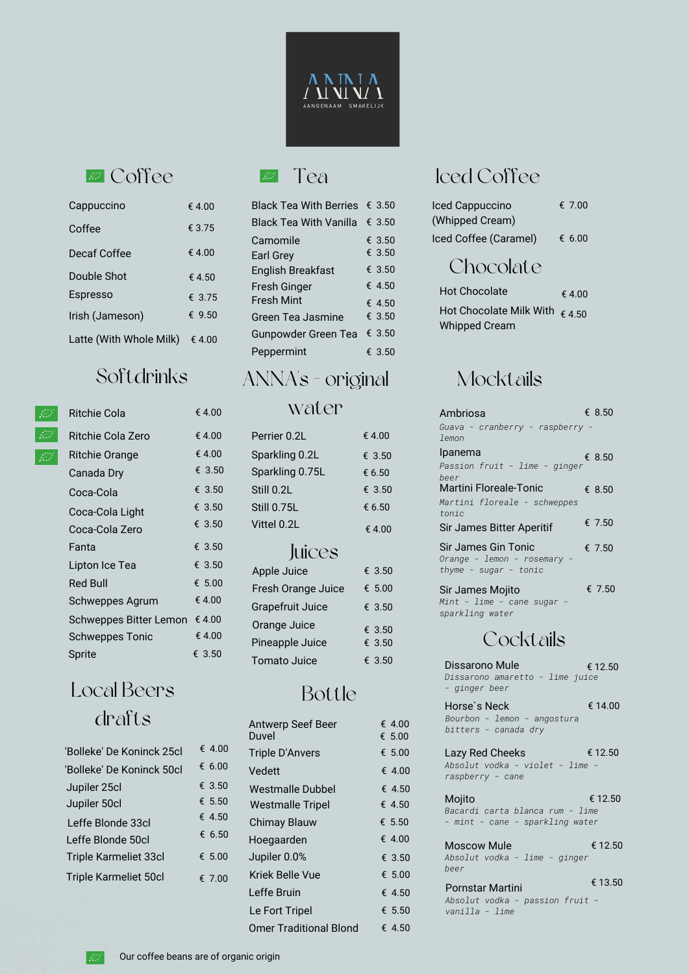

## **EX** Coffee **EX** Tea

| Cappuccino              | € 4.00 |
|-------------------------|--------|
| Coffee                  | € 3.75 |
| Decaf Coffee            | € 4.00 |
| Double Shot             | € 4.50 |
| Espresso                | £ 3.75 |
| Irish (Jameson)         | € 9.50 |
| Latte (With Whole Milk) | €4.00  |

# Softdrinks



#### Ritchie Cola

€ 4.00

| Ritchie Cola Zero      | € 4.00          |
|------------------------|-----------------|
| Ritchie Orange         | € 4.00          |
| Canada Dry             | € 3.50          |
| Coca-Cola              | € 3.50          |
| Coca-Cola Light        | € 3.50          |
| Coca-Cola Zero         | € 3.50          |
| Fanta                  | € 3.50          |
| Lipton Ice Tea         | € 3.50          |
| Red Bull               | $\epsilon$ 5.00 |
| Schweppes Agrum        | €4.00           |
| Schweppes Bitter Lemon | € 4.00          |
| <b>Schweppes Tonic</b> | €4.00           |
| Sprite                 | € 3.50          |

## Local Beers drafts

| 'Bolleke' De Koninck 25cl    | € 4.00   |
|------------------------------|----------|
| 'Bolleke' De Koninck 50cl    | € 6.00   |
| Jupiler 25cl                 | € 3.50   |
| Jupiler 50cl                 | € 5.50   |
| Leffe Blonde 33cl            | € 4.50   |
| Leffe Blonde 50cl            | € 6.50   |
| <b>Triple Karmeliet 33cl</b> | € $5.00$ |
| <b>Triple Karmeliet 50cl</b> | € 7.00   |

| <b>Black Tea With Berries</b> | € 3.50          |
|-------------------------------|-----------------|
| <b>Black Tea With Vanilla</b> | € 3.50          |
| Camomile                      | € 3.50          |
| Earl Grey                     | € 3.50          |
| <b>English Breakfast</b>      | € 3.50          |
| Fresh Ginger                  | € 4.50          |
| <b>Fresh Mint</b>             | $\epsilon$ 4.50 |
| Green Tea Jasmine             | € 3.50          |
| Gunpowder Green Tea           | € 3.50          |
| Peppermint                    | € 3.50          |

# ANNA's - original

#### water

| Perrier 0.2L    | €4.00  | $\frac{1}{2}$<br>lemon         |
|-----------------|--------|--------------------------------|
| Sparkling 0.2L  | € 3.50 | Ipanema                        |
| Sparkling 0.75L | € 6.50 | Passion fruit - lime<br>beer   |
| Still 0.2L      | € 3.50 | Martini Floreale-Tonic         |
| Still 0.75L     | € 6.50 | Martini floreale - sc<br>tonic |
| Vittel 0.2L     | €4.00  | Sir James Bitter Aperit        |
|                 |        |                                |

#### **Juices**

| Apple Juice         | € 3.50          |
|---------------------|-----------------|
| Fresh Orange Juice  | $\epsilon$ 5.00 |
| Grapefruit Juice    | € 3.50          |
| Orange Juice        | € 3.50          |
| Pineapple Juice     | € 3.50          |
| <b>Tomato Juice</b> | € 3.50          |

## Bottle

| Antwerp Seef Beer<br>Duvel    | € 4.00<br>€ 5.00 |
|-------------------------------|------------------|
| Triple D'Anvers               | € 5.00           |
| Vedett                        | $\epsilon$ 4.00  |
| Westmalle Dubbel              | € 4.50           |
| <b>Westmalle Tripel</b>       | € 4.50           |
| <b>Chimay Blauw</b>           | $\epsilon$ 5.50  |
| Hoegaarden                    | $\epsilon$ 4.00  |
| Jupiler 0.0%                  | € 3.50           |
| Kriek Belle Vue               | € 5.00           |
| Leffe Bruin                   | € 4.50           |
| Le Fort Tripel                | € 5.50           |
| <b>Omer Traditional Blond</b> | € 4.50           |

# Iced Coffee

| Iced Cappuccino       | € 7.00 |
|-----------------------|--------|
| (Whipped Cream)       |        |
| Iced Coffee (Caramel) | € 6.00 |

# Chocolate

| <b>Hot Chocolate</b>                                            | $\epsilon$ 4.00 |
|-----------------------------------------------------------------|-----------------|
| Hot Chocolate Milk With $\epsilon$ 4.50<br><b>Whipped Cream</b> |                 |

## Mocktails

| Ambriosa                                                                           | € 8.50 |         |
|------------------------------------------------------------------------------------|--------|---------|
| Guava - cranberry - raspberry -<br>lemon                                           |        |         |
| Ipanema<br>Passion fruit - lime - ginger<br>beer                                   | € 8.50 |         |
| Martini Floreale-Tonic                                                             | € 8.50 |         |
| Martini floreale - schweppes<br>tonic                                              |        |         |
| Sir James Bitter Aperitif                                                          | € 7.50 |         |
| <b>Sir James Gin Tonic</b><br>Orange - lemon - rosemary -<br>thyme - sugar - tonic | € 7.50 |         |
| Sir James Mojito<br>Mint - lime - cane sugar -<br>sparkling water                  |        | € 7.50  |
| Cocktails                                                                          |        |         |
| Dissarono Mule<br>Dissarono amaretto - lime juice<br>- ginger beer                 |        | € 12.50 |
| Horse's Neck<br>Bourbon - lemon - angostura<br>bitters - canada dry                |        | € 14.00 |
| Lazy Red Cheeks<br>Absolut vodka - violet - lime -<br>raspberry - cane             |        | € 12.50 |
| Mojito                                                                             |        | € 12.50 |

*Bacardi carta blanca rum - lime - mint - cane - sparkling water*

Moscow Mule *Absolut vodka - lime - ginger beer* € 13.50 € 12.50

Pornstar Martini *Absolut vodka - passion fruit vanilla - lime*

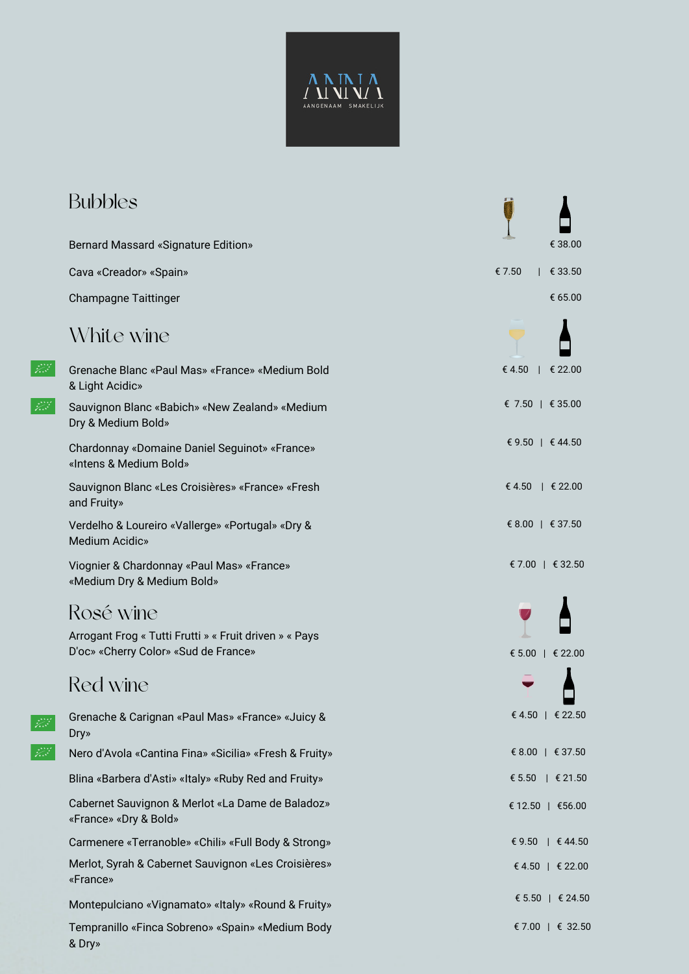

| <b>Bubbles</b>                                                                                 |                                    |
|------------------------------------------------------------------------------------------------|------------------------------------|
| <b>Bernard Massard «Signature Edition»</b>                                                     | € 38.00                            |
| Cava «Creador» «Spain»                                                                         | € 7.50<br>€ 33.50                  |
| <b>Champagne Taittinger</b>                                                                    | € 65.00                            |
| White wine                                                                                     |                                    |
| Grenache Blanc «Paul Mas» «France» «Medium Bold<br>& Light Acidic»                             | € 4.50<br>$\downarrow$ $\in$ 22.00 |
| Sauvignon Blanc «Babich» «New Zealand» «Medium<br>Dry & Medium Bold»                           | € 7.50   € 35.00                   |
| Chardonnay «Domaine Daniel Seguinot» «France»<br>«Intens & Medium Bold»                        | € 9.50   € 44.50                   |
| Sauvignon Blanc «Les Croisières» «France» «Fresh<br>and Fruity»                                | € 4.50   € 22.00                   |
| Verdelho & Loureiro «Vallerge» «Portugal» «Dry &<br><b>Medium Acidic»</b>                      | € 8.00   € 37.50                   |
| Viognier & Chardonnay «Paul Mas» «France»<br>«Medium Dry & Medium Bold»                        | € 7.00   € 32.50                   |
| Rosé wine                                                                                      |                                    |
| Arrogant Frog « Tutti Frutti » « Fruit driven » « Pays<br>D'oc» «Cherry Color» «Sud de France» | € 5.00   € 22.00                   |
| Red wine                                                                                       |                                    |
| Grenache & Carignan «Paul Mas» «France» «Juicy &<br>Dry»                                       | € 4.50   € 22.50                   |
| Nero d'Avola «Cantina Fina» «Sicilia» «Fresh & Fruity»                                         | € 8.00   € 37.50                   |
| Blina «Barbera d'Asti» «Italy» «Ruby Red and Fruity»                                           | € 5.50<br>$ \epsilon 21.50$        |
| Cabernet Sauvignon & Merlot «La Dame de Baladoz»<br>«France» «Dry & Bold»                      | € 12.50   €56.00                   |
| Carmenere «Terranoble» «Chili» «Full Body & Strong»                                            | € 9.50 $\uparrow$ € 44.50          |
| Merlot, Syrah & Cabernet Sauvignon «Les Croisières»<br>«France»                                | € 4.50   € 22.00                   |
| Montepulciano «Vignamato» «Italy» «Round & Fruity»                                             | € 5.50   € 24.50                   |
| Tempranillo «Finca Sobreno» «Spain» «Medium Body<br>& Dry»                                     | € 7.00   € 32.50                   |

 $\overrightarrow{gg}$ 

 $\overrightarrow{gg}$ 

 $\frac{\partial \mathcal{L}}{\partial \mathcal{L}}$ 

 $\frac{1}{\sqrt{2\pi}}\sum_{i=1}^{N-1}\frac{1}{\sqrt{2\pi}}\sum_{i=1}^{N}\frac{1}{\sqrt{2\pi}}\sum_{i=1}^{N}\frac{1}{\sqrt{2\pi}}\sum_{i=1}^{N}\frac{1}{\sqrt{2\pi}}\sum_{i=1}^{N}\frac{1}{\sqrt{2\pi}}\sum_{i=1}^{N}\frac{1}{\sqrt{2\pi}}\sum_{i=1}^{N}\frac{1}{\sqrt{2\pi}}\sum_{i=1}^{N}\frac{1}{\sqrt{2\pi}}\sum_{i=1}^{N}\frac{1}{\sqrt{2\pi}}\sum_{i=1}^{N}\frac{1}{\sqrt{$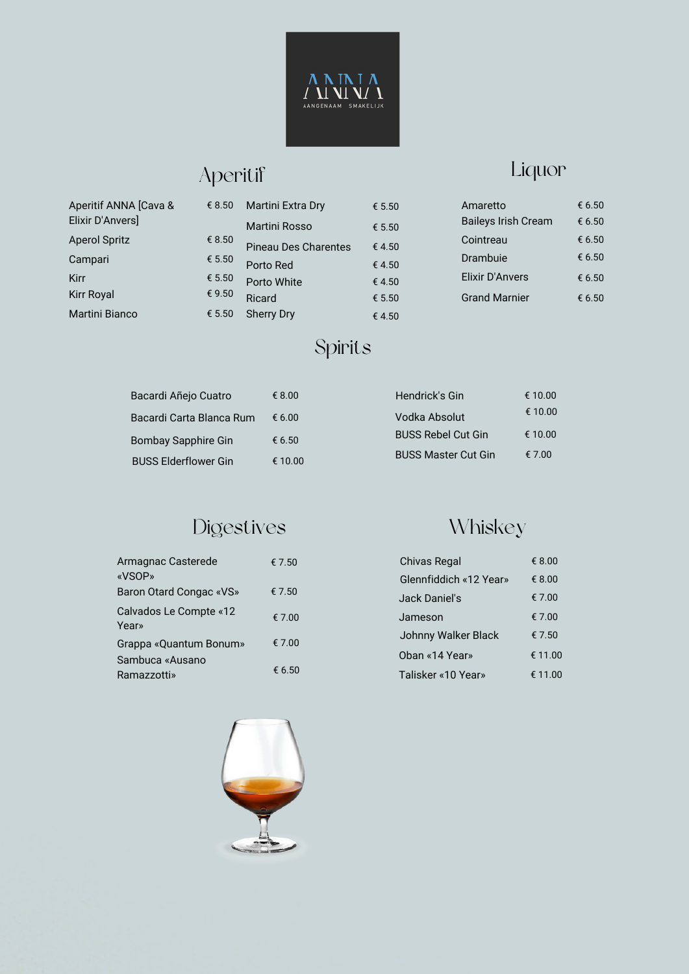

# Aperitif

Liquor

| Aperitif ANNA [Cava & | € 8.50 | Martini Extra Dry           | € 5.50 | Amaretto                   | € 6.50 |
|-----------------------|--------|-----------------------------|--------|----------------------------|--------|
| Elixir D'Anvers]      |        | Martini Rosso               | € 5.50 | <b>Baileys Irish Cream</b> | € 6.50 |
| <b>Aperol Spritz</b>  | € 8.50 | <b>Pineau Des Charentes</b> | €4.50  | Cointreau                  | € 6.50 |
| Campari               | € 5.50 | Porto Red                   | €4.50  | <b>Drambuie</b>            | € 6.50 |
| <b>Kirr</b>           | € 5.50 | Porto White                 | €4.50  | Elixir D'Anvers            | € 6.50 |
| <b>Kirr Royal</b>     | € 9.50 | Ricard                      | € 5.50 | <b>Grand Marnier</b>       | € 6.50 |
| <b>Martini Bianco</b> | € 5.50 | <b>Sherry Dry</b>           | € 4.50 |                            |        |

# Spirits

| Bacardi Añejo Cuatro        | € 8.00          | Hendrick's Gin             | € 10.00 |
|-----------------------------|-----------------|----------------------------|---------|
| Bacardi Carta Blanca Rum    | $\epsilon$ 6.00 | Vodka Absolut              | € 10.00 |
| <b>Bombay Sapphire Gin</b>  | € 6.50          | <b>BUSS Rebel Cut Gin</b>  | € 10.00 |
| <b>BUSS Elderflower Gin</b> | € 10.00         | <b>BUSS Master Cut Gin</b> | € 7.00  |

# Digestives

| Armagnac Casterede<br>«VSOP»    | € 7.50 |
|---------------------------------|--------|
| Baron Otard Congac «VS»         | € 7.50 |
| Calvados Le Compte «12<br>Year» | € 7.00 |
| Grappa «Quantum Bonum»          | € 7.00 |
| Sambuca «Ausano<br>Ramazzotti»  | € 6.50 |

# Whiskey

| Chivas Regal           | € 8.00  |
|------------------------|---------|
| Glennfiddich «12 Year» | € 8.00  |
| Jack Daniel's          | € 7.00  |
| Jameson                | € 7.00  |
| Johnny Walker Black    | € 7.50  |
| Oban «14 Year»         | € 11.00 |
| Talisker «10 Year»     | € 11.00 |